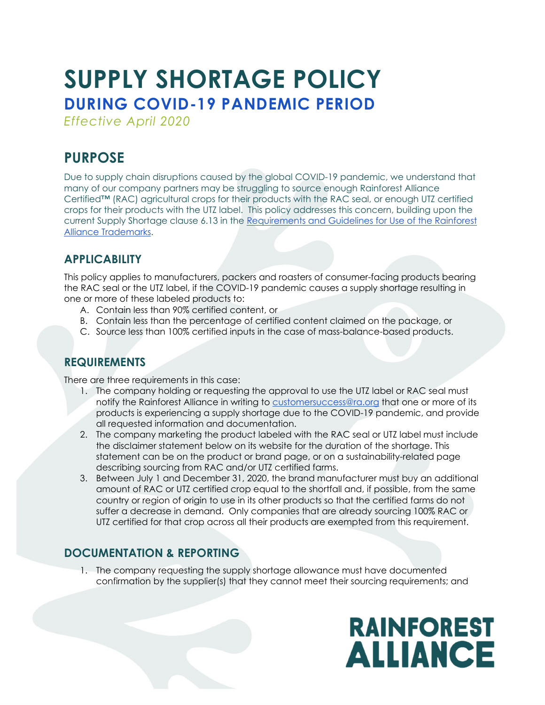# **SUPPLY SHORTAGE POLICY DURING COVID-19 PANDEMIC PERIOD**

*Effective April 2020* 

## **PURPOSE**

Due to supply chain disruptions caused by the global COVID-19 pandemic, we understand that many of our company partners may be struggling to source enough Rainforest Alliance Certified™ (RAC) agricultural crops for their products with the RAC seal, or enough UTZ certified crops for their products with the UTZ label. This policy addresses this concern, building upon the [current Supply Shortage clause 6.13 in the Requirements and Guidelines for Use of the Rainforest](https://www.rainforest-alliance.org/business/wp-content/uploads/2018/07/rainforest-alliance-marks-guide.pdf) Alliance Trademarks.

### **APPLICABILITY**

This policy applies to manufacturers, packers and roasters of consumer-facing products bearing the RAC seal or the UTZ label, if the COVID-19 pandemic causes a supply shortage resulting in one or more of these labeled products to:

- A. Contain less than 90% certified content, or
- B. Contain less than the percentage of certified content claimed on the package, or
- C. Source less than 100% certified inputs in the case of mass-balance-based products.

#### **REQUIREMENTS**

There are three requirements in this case:

- 1. The company holding or requesting the approval to use the UTZ label or RAC seal must notify the Rainforest Alliance in writing to customersuccess@ra.org that one or more of its products is experiencing a supply shortage due to the COVID-19 pandemic, and provide all requested information and documentation.
- 2. The company marketing the product labeled with the RAC seal or UTZ label must include the disclaimer statement below on its website for the duration of the shortage. This statement can be on the product or brand page, or on a sustainability-related page describing sourcing from RAC and/or UTZ certified farms.
- 3. Between July 1 and December 31, 2020, the brand manufacturer must buy an additional amount of RAC or UTZ certified crop equal to the shortfall and, if possible, from the same country or region of origin to use in its other products so that the certified farms do not suffer a decrease in demand. Only companies that are already sourcing 100% RAC or UTZ certified for that crop across all their products are exempted from this requirement.

#### **DOCUMENTATION & REPORTING**

1. The company requesting the supply shortage allowance must have documented confirmation by the supplier(s) that they cannot meet their sourcing requirements; and